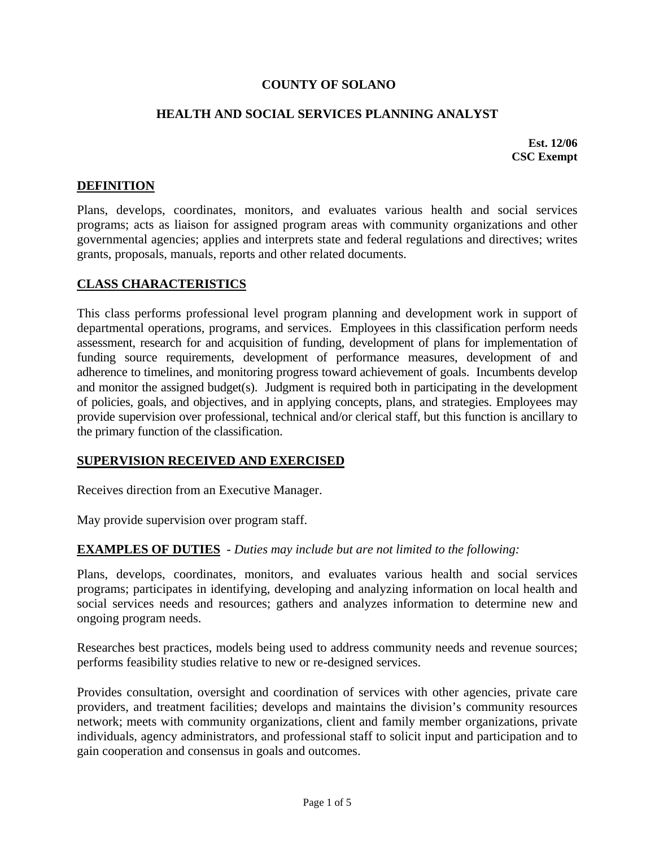## **COUNTY OF SOLANO**

## **HEALTH AND SOCIAL SERVICES PLANNING ANALYST**

**Est. 12/06 CSC Exempt** 

## **DEFINITION**

Plans, develops, coordinates, monitors, and evaluates various health and social services programs; acts as liaison for assigned program areas with community organizations and other governmental agencies; applies and interprets state and federal regulations and directives; writes grants, proposals, manuals, reports and other related documents.

#### **CLASS CHARACTERISTICS**

This class performs professional level program planning and development work in support of departmental operations, programs, and services. Employees in this classification perform needs assessment, research for and acquisition of funding, development of plans for implementation of funding source requirements, development of performance measures, development of and adherence to timelines, and monitoring progress toward achievement of goals. Incumbents develop and monitor the assigned budget(s). Judgment is required both in participating in the development of policies, goals, and objectives, and in applying concepts, plans, and strategies. Employees may provide supervision over professional, technical and/or clerical staff, but this function is ancillary to the primary function of the classification.

## **SUPERVISION RECEIVED AND EXERCISED**

Receives direction from an Executive Manager.

May provide supervision over program staff.

## **EXAMPLES OF DUTIES** - *Duties may include but are not limited to the following:*

Plans, develops, coordinates, monitors, and evaluates various health and social services programs; participates in identifying, developing and analyzing information on local health and social services needs and resources; gathers and analyzes information to determine new and ongoing program needs.

Researches best practices, models being used to address community needs and revenue sources; performs feasibility studies relative to new or re-designed services.

Provides consultation, oversight and coordination of services with other agencies, private care providers, and treatment facilities; develops and maintains the division's community resources network; meets with community organizations, client and family member organizations, private individuals, agency administrators, and professional staff to solicit input and participation and to gain cooperation and consensus in goals and outcomes.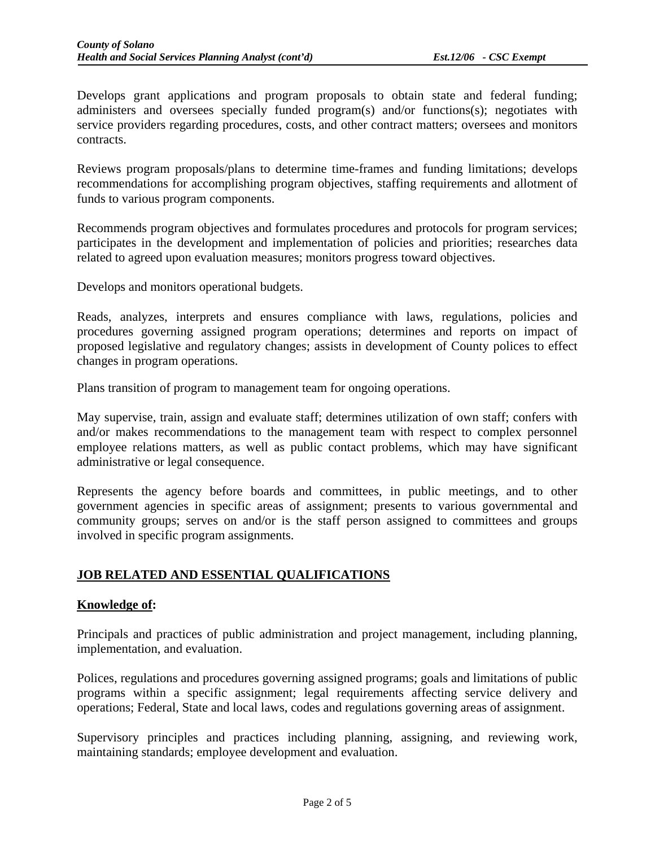Develops grant applications and program proposals to obtain state and federal funding; administers and oversees specially funded program(s) and/or functions(s); negotiates with service providers regarding procedures, costs, and other contract matters; oversees and monitors contracts.

Reviews program proposals/plans to determine time-frames and funding limitations; develops recommendations for accomplishing program objectives, staffing requirements and allotment of funds to various program components.

Recommends program objectives and formulates procedures and protocols for program services; participates in the development and implementation of policies and priorities; researches data related to agreed upon evaluation measures; monitors progress toward objectives.

Develops and monitors operational budgets.

Reads, analyzes, interprets and ensures compliance with laws, regulations, policies and procedures governing assigned program operations; determines and reports on impact of proposed legislative and regulatory changes; assists in development of County polices to effect changes in program operations.

Plans transition of program to management team for ongoing operations.

May supervise, train, assign and evaluate staff; determines utilization of own staff; confers with and/or makes recommendations to the management team with respect to complex personnel employee relations matters, as well as public contact problems, which may have significant administrative or legal consequence.

Represents the agency before boards and committees, in public meetings, and to other government agencies in specific areas of assignment; presents to various governmental and community groups; serves on and/or is the staff person assigned to committees and groups involved in specific program assignments.

## **JOB RELATED AND ESSENTIAL QUALIFICATIONS**

## **Knowledge of:**

Principals and practices of public administration and project management, including planning, implementation, and evaluation.

Polices, regulations and procedures governing assigned programs; goals and limitations of public programs within a specific assignment; legal requirements affecting service delivery and operations; Federal, State and local laws, codes and regulations governing areas of assignment.

Supervisory principles and practices including planning, assigning, and reviewing work, maintaining standards; employee development and evaluation.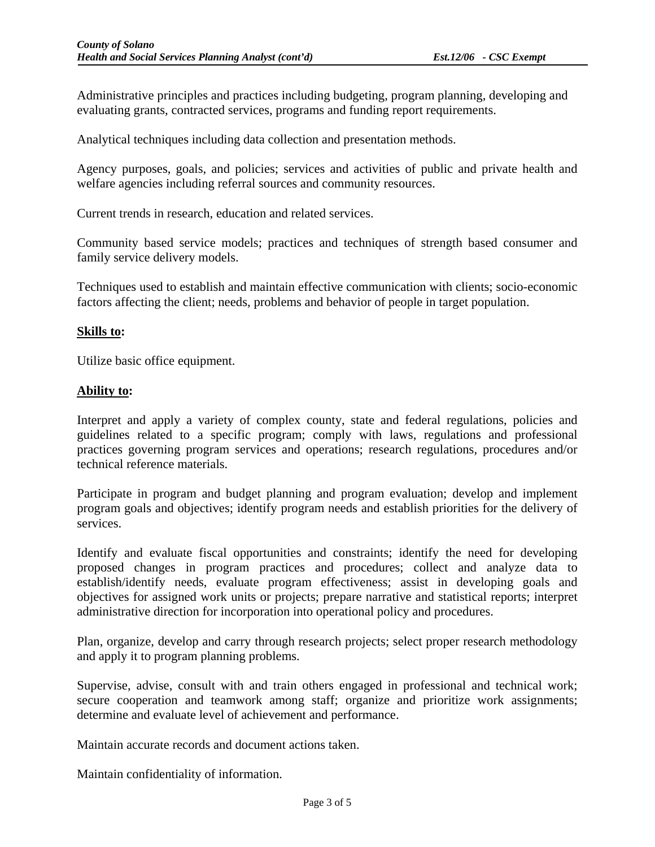Administrative principles and practices including budgeting, program planning, developing and evaluating grants, contracted services, programs and funding report requirements.

Analytical techniques including data collection and presentation methods.

Agency purposes, goals, and policies; services and activities of public and private health and welfare agencies including referral sources and community resources.

Current trends in research, education and related services.

Community based service models; practices and techniques of strength based consumer and family service delivery models.

Techniques used to establish and maintain effective communication with clients; socio-economic factors affecting the client; needs, problems and behavior of people in target population.

#### **Skills to:**

Utilize basic office equipment.

#### **Ability to:**

Interpret and apply a variety of complex county, state and federal regulations, policies and guidelines related to a specific program; comply with laws, regulations and professional practices governing program services and operations; research regulations, procedures and/or technical reference materials.

Participate in program and budget planning and program evaluation; develop and implement program goals and objectives; identify program needs and establish priorities for the delivery of services.

Identify and evaluate fiscal opportunities and constraints; identify the need for developing proposed changes in program practices and procedures; collect and analyze data to establish/identify needs, evaluate program effectiveness; assist in developing goals and objectives for assigned work units or projects; prepare narrative and statistical reports; interpret administrative direction for incorporation into operational policy and procedures.

Plan, organize, develop and carry through research projects; select proper research methodology and apply it to program planning problems.

Supervise, advise, consult with and train others engaged in professional and technical work; secure cooperation and teamwork among staff; organize and prioritize work assignments; determine and evaluate level of achievement and performance.

Maintain accurate records and document actions taken.

Maintain confidentiality of information.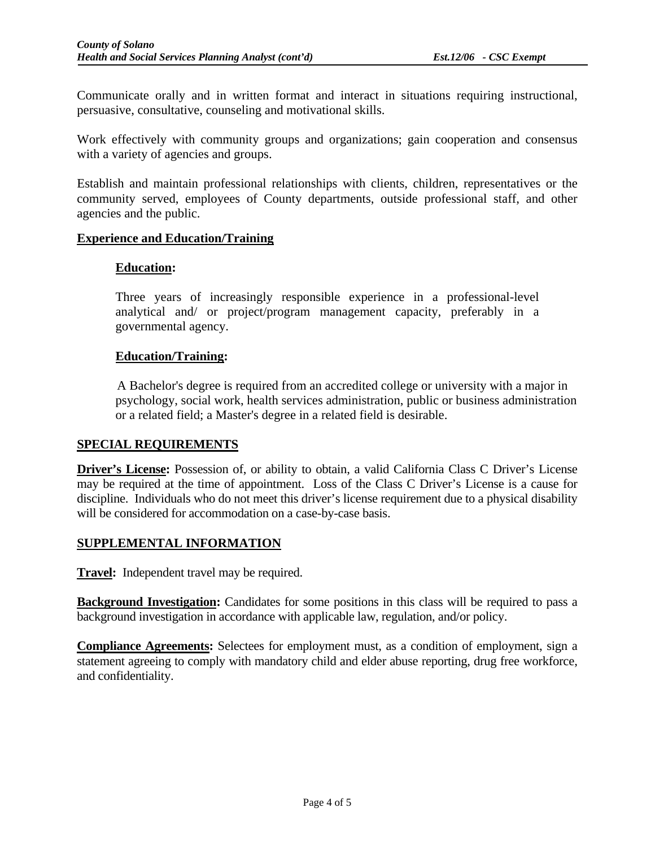Communicate orally and in written format and interact in situations requiring instructional, persuasive, consultative, counseling and motivational skills.

Work effectively with community groups and organizations; gain cooperation and consensus with a variety of agencies and groups.

Establish and maintain professional relationships with clients, children, representatives or the community served, employees of County departments, outside professional staff, and other agencies and the public.

## **Experience and Education/Training**

## **Education:**

Three years of increasingly responsible experience in a professional-level analytical and/ or project/program management capacity, preferably in a governmental agency.

## **Education/Training:**

A Bachelor's degree is required from an accredited college or university with a major in psychology, social work, health services administration, public or business administration or a related field; a Master's degree in a related field is desirable.

## **SPECIAL REQUIREMENTS**

**Driver's License:** Possession of, or ability to obtain, a valid California Class C Driver's License may be required at the time of appointment. Loss of the Class C Driver's License is a cause for discipline. Individuals who do not meet this driver's license requirement due to a physical disability will be considered for accommodation on a case-by-case basis.

## **SUPPLEMENTAL INFORMATION**

**Travel:** Independent travel may be required.

**Background Investigation:** Candidates for some positions in this class will be required to pass a background investigation in accordance with applicable law, regulation, and/or policy.

**Compliance Agreements:** Selectees for employment must, as a condition of employment, sign a statement agreeing to comply with mandatory child and elder abuse reporting, drug free workforce, and confidentiality.